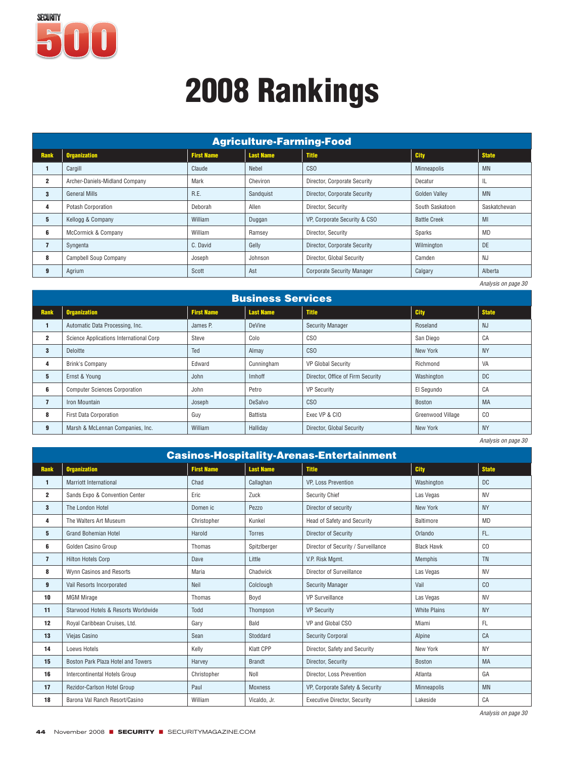

| <b>Agriculture-Farming-Food</b> |                                |                   |                  |                                   |                     |              |  |  |
|---------------------------------|--------------------------------|-------------------|------------------|-----------------------------------|---------------------|--------------|--|--|
| <b>Rank</b>                     | <b>Organization</b>            | <b>First Name</b> | <b>Last Name</b> | <b>Title</b>                      | <b>City</b>         | <b>State</b> |  |  |
|                                 | Cargill                        | Claude            | Nebel            | <b>CSO</b>                        | Minneapolis         | <b>MN</b>    |  |  |
| $\overline{2}$                  | Archer-Daniels-Midland Company | Mark              | Cheviron         | Director, Corporate Security      | Decatur             | IL           |  |  |
| 3                               | <b>General Mills</b>           | R.E.              | Sandquist        | Director, Corporate Security      | Golden Valley       | <b>MN</b>    |  |  |
| 4                               | Potash Corporation             | Deborah           | Allen            | Director, Security                | South Saskatoon     | Saskatchewan |  |  |
| 5                               | Kellogg & Company              | William           | Duggan           | VP, Corporate Security & CSO      | <b>Battle Creek</b> | MI           |  |  |
| 6                               | McCormick & Company            | William           | Ramsey           | Director, Security                | Sparks              | <b>MD</b>    |  |  |
| 7                               | Syngenta                       | C. David          | Gelly            | Director, Corporate Security      | Wilmington          | DE           |  |  |
| 8                               | <b>Campbell Soup Company</b>   | Joseph            | Johnson          | Director, Global Security         | Camden              | NJ           |  |  |
| 9                               | Agrium                         | Scott             | Ast              | <b>Corporate Security Manager</b> | Calgary             | Alberta      |  |  |

*Analysis on page 30*

|                | <b>Business Services</b>                |                   |                  |                                   |                   |              |  |  |  |
|----------------|-----------------------------------------|-------------------|------------------|-----------------------------------|-------------------|--------------|--|--|--|
| Rank           | <b>Organization</b>                     | <b>First Name</b> | <b>Last Name</b> | <b>Title</b>                      | <b>City</b>       | <b>State</b> |  |  |  |
|                | Automatic Data Processing, Inc.         | James P.          | DeVine           | <b>Security Manager</b>           | Roseland          | <b>NJ</b>    |  |  |  |
| $\mathbf 2$    | Science Applications International Corp | Steve             | Colo             | CSO                               | San Diego         | CA           |  |  |  |
| 3              | Deloitte                                | Ted               | Almay            | CS <sub>0</sub>                   | New York          | <b>NY</b>    |  |  |  |
| 4              | Brink's Company                         | Edward            | Cunningham       | <b>VP Global Security</b>         | Richmond          | VA           |  |  |  |
| 5              | Ernst & Young                           | John              | Imhoff           | Director, Office of Firm Security | Washington        | <b>DC</b>    |  |  |  |
| 6              | <b>Computer Sciences Corporation</b>    | John              | Petro            | <b>VP Security</b>                | El Segundo        | CA           |  |  |  |
| $\overline{7}$ | Iron Mountain                           | Joseph            | DeSalvo          | C <sub>SO</sub>                   | Boston            | MA           |  |  |  |
| 8              | <b>First Data Corporation</b>           | Guy               | Battista         | Exec VP & CIO                     | Greenwood Village | CO           |  |  |  |
| 9              | Marsh & McLennan Companies, Inc.        | William           | Halliday         | Director, Global Security         | New York          | <b>NY</b>    |  |  |  |

*Analysis on page 30*

| <b>Casinos-Hospitality-Arenas-Entertainment</b> |                                     |                   |                  |                                     |                     |              |  |  |
|-------------------------------------------------|-------------------------------------|-------------------|------------------|-------------------------------------|---------------------|--------------|--|--|
| <b>Rank</b>                                     | <b>Organization</b>                 | <b>First Name</b> | <b>Last Name</b> | <b>Title</b>                        | City                | <b>State</b> |  |  |
| 1                                               | <b>Marriott International</b>       | Chad              | Callaghan        | <b>VP. Loss Prevention</b>          | Washington          | <b>DC</b>    |  |  |
| $\mathbf{2}$                                    | Sands Expo & Convention Center      | Eric              | Zuck             | <b>Security Chief</b>               | Las Vegas           | <b>NV</b>    |  |  |
| 3                                               | The London Hotel                    | Domen ic          | Pezzo            | Director of security                | New York            | <b>NY</b>    |  |  |
| 4                                               | The Walters Art Museum              | Christopher       | Kunkel           | Head of Safety and Security         | Baltimore           | <b>MD</b>    |  |  |
| 5                                               | <b>Grand Bohemian Hotel</b>         | Harold            | <b>Torres</b>    | Director of Security                | Orlando             | FL.          |  |  |
| 6                                               | Golden Casino Group                 | Thomas            | SpitzIberger     | Director of Security / Surveillance | <b>Black Hawk</b>   | CO           |  |  |
| $\overline{7}$                                  | <b>Hilton Hotels Corp</b>           | Dave              | Little           | V.P. Risk Mgmt.                     | Memphis             | <b>TN</b>    |  |  |
| 8                                               | Wynn Casinos and Resorts            | Maria             | Chadwick         | Director of Surveillance            | Las Vegas           | <b>NV</b>    |  |  |
| 9                                               | Vail Resorts Incorporated           | Neil              | Colclough        | <b>Security Manager</b>             | Vail                | CO           |  |  |
| 10                                              | <b>MGM Mirage</b>                   | Thomas            | Boyd             | <b>VP Surveillance</b>              | Las Vegas           | <b>NV</b>    |  |  |
| 11                                              | Starwood Hotels & Resorts Worldwide | Todd              | Thompson         | <b>VP Security</b>                  | <b>White Plains</b> | <b>NY</b>    |  |  |
| 12                                              | Royal Caribbean Cruises, Ltd.       | Gary              | Bald             | VP and Global CSO                   | Miami               | <b>FL</b>    |  |  |
| 13                                              | Viejas Casino                       | Sean              | Stoddard         | <b>Security Corporal</b>            | Alpine              | CA           |  |  |
| 14                                              | Loews Hotels                        | Kelly             | <b>Klatt CPP</b> | Director, Safety and Security       | New York            | <b>NY</b>    |  |  |
| 15                                              | Boston Park Plaza Hotel and Towers  | Harvey            | <b>Brandt</b>    | Director, Security                  | <b>Boston</b>       | <b>MA</b>    |  |  |
| 16                                              | Intercontinental Hotels Group       | Christopher       | Noll             | Director, Loss Prevention           | Atlanta             | GA           |  |  |
| 17                                              | Rezidor-Carlson Hotel Group         | Paul              | <b>Moxness</b>   | VP, Corporate Safety & Security     | Minneapolis         | <b>MN</b>    |  |  |
| 18                                              | Barona Val Ranch Resort/Casino      | William           | Vicaldo, Jr.     | <b>Executive Director, Security</b> | Lakeside            | CA           |  |  |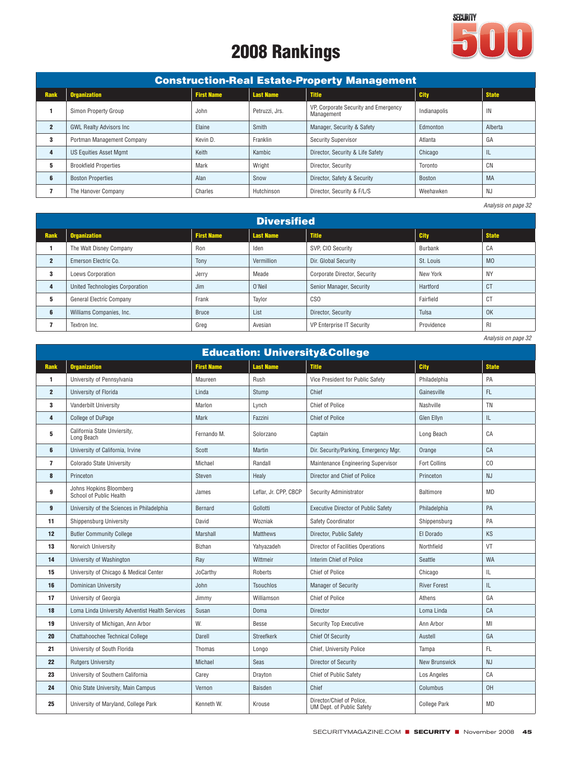

| <b>Construction-Real Estate-Property Management</b> |                                 |                   |                  |                                                    |              |              |  |  |  |
|-----------------------------------------------------|---------------------------------|-------------------|------------------|----------------------------------------------------|--------------|--------------|--|--|--|
| <b>Rank</b>                                         | <b>Organization</b>             | <b>First Name</b> | <b>Last Name</b> | <b>Title</b>                                       | <b>City</b>  | <b>State</b> |  |  |  |
|                                                     | Simon Property Group            | John              | Petruzzi, Jrs.   | VP, Corporate Security and Emergency<br>Management | Indianapolis | IN           |  |  |  |
| $\overline{2}$                                      | <b>GWL Realty Advisors Inc.</b> | Elaine            | Smith            | Manager, Security & Safety                         | Edmonton     | Alberta      |  |  |  |
| 3                                                   | Portman Management Company      | Kevin D.          | Franklin         | <b>Security Supervisor</b>                         | Atlanta      | GA           |  |  |  |
| 4                                                   | <b>US Equities Asset Mamt</b>   | Keith             | Kambic           | Director, Security & Life Safety                   | Chicago      | ⊥∟           |  |  |  |
| 5                                                   | <b>Brookfield Properties</b>    | Mark              | Wright           | Director, Security                                 | Toronto      | CN           |  |  |  |
| 6                                                   | <b>Boston Properties</b>        | Alan              | Snow             | Director, Safety & Security                        | Boston       | <b>MA</b>    |  |  |  |
|                                                     | The Hanover Company             | Charles           | Hutchinson       | Director. Security & F/L/S                         | Weehawken    | NJ           |  |  |  |

*Analysis on page 32*

|                | <b>Diversified</b>              |                   |                  |                                  |             |                |  |  |  |
|----------------|---------------------------------|-------------------|------------------|----------------------------------|-------------|----------------|--|--|--|
| Rank           | <b>Organization</b>             | <b>First Name</b> | <b>Last Name</b> | <b>Title</b>                     | <b>City</b> | <b>State</b>   |  |  |  |
|                | The Walt Disney Company         | Ron               | Iden             | SVP, CIO Security                | Burbank     | CA             |  |  |  |
| $\overline{2}$ | Emerson Electric Co.            | Tony              | Vermillion       | Dir. Global Security             | St. Louis   | M <sub>0</sub> |  |  |  |
| 3              | Loews Corporation               | Jerry             | Meade            | Corporate Director, Security     | New York    | <b>NY</b>      |  |  |  |
|                | United Technologies Corporation | Jim               | O'Neil           | Senior Manager, Security         | Hartford    | CT             |  |  |  |
| 5              | General Electric Company        | Frank             | Tavlor           | C <sub>SO</sub>                  | Fairfield   | СT             |  |  |  |
| 6              | Williams Companies, Inc.        | <b>Bruce</b>      | List             | Director, Security               | Tulsa       | 0K             |  |  |  |
|                | Textron Inc.                    | Greg              | Avesian          | <b>VP Enterprise IT Security</b> | Providence  | <b>RI</b>      |  |  |  |

| <b>Education: University&amp;College</b> |                                                    |                   |                       |                                                        |                      |              |  |  |  |
|------------------------------------------|----------------------------------------------------|-------------------|-----------------------|--------------------------------------------------------|----------------------|--------------|--|--|--|
| <b>Rank</b>                              | <b>Organization</b>                                | <b>First Name</b> | <b>Last Name</b>      | <b>Title</b>                                           | <b>City</b>          | <b>State</b> |  |  |  |
| 1                                        | University of Pennsylvania                         | Maureen           | Rush                  | Vice President for Public Safety                       | Philadelphia         | PA           |  |  |  |
| $\overline{2}$                           | University of Florida                              | Linda             | Stump                 | Chief                                                  | Gainesville          | FL.          |  |  |  |
| 3                                        | Vanderbilt University                              | Marlon            | Lynch                 | <b>Chief of Police</b>                                 | Nashville            | <b>TN</b>    |  |  |  |
| 4                                        | College of DuPage                                  | Mark              | Fazzini               | <b>Chief of Police</b>                                 | Glen Ellvn           | IL           |  |  |  |
| 5                                        | California State Unviersity,<br>Long Beach         | Fernando M.       | Solorzano             | Captain                                                | Long Beach           | CA           |  |  |  |
| 6                                        | University of California, Irvine                   | Scott             | Martin                | Dir. Security/Parking, Emergency Mgr.                  | Orange               | CA           |  |  |  |
| $\overline{7}$                           | <b>Colorado State University</b>                   | Michael           | Randall               | Maintenance Engineering Supervisor                     | <b>Fort Collins</b>  | CO           |  |  |  |
| 8                                        | Princeton                                          | Steven            | Healy                 | Director and Chief of Police                           | Princeton            | <b>NJ</b>    |  |  |  |
| 9                                        | Johns Hopkins Bloomberg<br>School of Public Health | James             | Leflar, Jr. CPP, CBCP | Security Administrator                                 | Baltimore            | MD           |  |  |  |
| 9                                        | University of the Sciences in Philadelphia         | Bernard           | Gollotti              | <b>Executive Director of Public Safety</b>             | Philadelphia         | PA           |  |  |  |
| 11                                       | <b>Shippensburg University</b>                     | David             | Wozniak               | Safety Coordinator                                     | Shippensburg         | PA           |  |  |  |
| 12                                       | <b>Butler Community College</b>                    | Marshall          | <b>Matthews</b>       | Director, Public Safety                                | El Dorado            | <b>KS</b>    |  |  |  |
| 13                                       | Norwich University                                 | <b>Bizhan</b>     | Yahyazadeh            | Director of Facilities Operations                      | Northfield           | VT           |  |  |  |
| 14                                       | University of Washington                           | Ray               | Wittmeir              | Interim Chief of Police                                | <b>Seattle</b>       | <b>WA</b>    |  |  |  |
| 15                                       | University of Chicago & Medical Center             | JoCarthy          | Roberts               | <b>Chief of Police</b>                                 | Chicago              | IL           |  |  |  |
| 16                                       | Dominican University                               | John              | <b>Tsouchlos</b>      | <b>Manager of Security</b>                             | <b>River Forest</b>  | IL.          |  |  |  |
| 17                                       | University of Georgia                              | Jimmy             | Williamson            | <b>Chief of Police</b>                                 | Athens               | GA           |  |  |  |
| 18                                       | Loma Linda University Adventist Health Services    | Susan             | Doma                  | Director                                               | Loma Linda           | CA           |  |  |  |
| 19                                       | University of Michigan, Ann Arbor                  | W.                | Besse                 | Security Top Executive                                 | Ann Arbor            | MI           |  |  |  |
| 20                                       | Chattahoochee Technical College                    | Darell            | Streefkerk            | <b>Chief Of Security</b>                               | Austell              | GA           |  |  |  |
| 21                                       | University of South Florida                        | Thomas            | Longo                 | Chief, University Police                               | Tampa                | FL.          |  |  |  |
| 22                                       | <b>Rutgers University</b>                          | Michael           | Seas                  | <b>Director of Security</b>                            | <b>New Brunswick</b> | <b>NJ</b>    |  |  |  |
| 23                                       | University of Southern California                  | Carey             | Drayton               | Chief of Public Safety                                 | Los Angeles          | CA           |  |  |  |
| 24                                       | Ohio State University, Main Campus                 | Vernon            | Baisden               | Chief                                                  | Columbus             | OH           |  |  |  |
| 25                                       | University of Maryland, College Park               | Kenneth W.        | Krouse                | Director/Chief of Police,<br>UM Dept. of Public Safety | <b>College Park</b>  | MD           |  |  |  |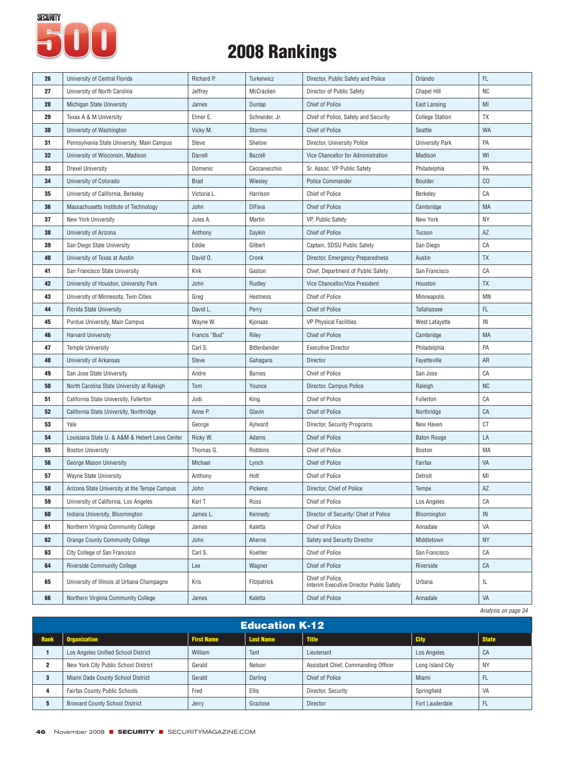

| 26 | University of Central Florida                 | Richard P.    | Turkeiwicz     | Director, Public Safety and Police                           | Orlando                | FL.       |
|----|-----------------------------------------------|---------------|----------------|--------------------------------------------------------------|------------------------|-----------|
| 27 | University of North Carolina                  | Jeffrey       | McCracken      | Director of Public Safety                                    | <b>Chapel Hill</b>     | <b>NC</b> |
| 28 | <b>Michigan State University</b>              | James         | Dunlap         | <b>Chief of Police</b>                                       | East Lansing           | MI        |
| 29 | Texas A & M University                        | Elmer E.      | Schneider, Jr. | Chief of Police, Safety and Security                         | <b>College Station</b> | TX        |
| 30 | University of Washington                      | Vicky M.      | Stormo         | <b>Chief of Police</b>                                       | Seattle                | WA        |
| 31 | Pennsylvania State University, Main Campus    | Steve         | Shelow         | Director, University Police                                  | <b>University Park</b> | PA        |
| 32 | University of Wisconsin, Madison              | Darrell       | <b>Bazzell</b> | Vice Chancellor for Administration                           | Madison                | WI        |
| 33 | <b>Drexel University</b>                      | Domenic       | Ceccanecchio   | Sr. Assoc. VP Public Safety                                  | Philadelphia           | PA        |
| 34 | University of Colorado                        | <b>Brad</b>   | Wiesley        | <b>Police Commander</b>                                      | <b>Boulder</b>         | CO        |
| 35 | University of California, Berkeley            | Victoria L.   | Harrison       | <b>Chief of Police</b>                                       | Berkeley               | CA        |
| 36 | Massachusetts Institute of Technology         | John          | <b>DiFava</b>  | <b>Chief of Police</b>                                       | Cambridge              | MA        |
| 37 | <b>New York University</b>                    | Jules A.      | Martin         | VP, Public Safety                                            | New York               | ΝY        |
| 38 | University of Arizona                         | Anthony       | Daykin         | <b>Chief of Police</b>                                       | Tucson                 | AZ        |
| 39 | San Diego State University                    | Eddie         | Gilbert        | Captain, SDSU Public Safety                                  | San Diego              | CA        |
| 40 | University of Texas at Austin                 | David O.      | Cronk          | Director, Emergency Preparedness                             | Austin                 | TX        |
| 41 | San Francisco State University                | Kirk          | Gaston         | Chief, Department of Public Safety                           | San Francisco          | СA        |
| 42 | University of Houston, University Park        | John          | Rudley         | Vice Chancellor/Vice President                               | Houston                | <b>TX</b> |
| 43 | University of Minnesota, Twin Cities          | Greg          | Hestness       | <b>Chief of Police</b>                                       | Minneapolis            | MN        |
| 44 | Florida State University                      | David L.      | Perry          | <b>Chief of Police</b>                                       | Tallahassee            | FL.       |
| 45 | Purdue University, Main Campus                | Wayne W.      | Kjonaas        | VP Physical Facilities                                       | West Lafayette         | IN        |
| 46 | <b>Harvard University</b>                     | Francis "Bud" | Riley          | <b>Chief of Police</b>                                       | Cambridge              | MA        |
| 47 | <b>Temple University</b>                      | Carl S.       | Bittenbender   | <b>Executive Director</b>                                    | Philadelphia           | PA        |
| 48 | University of Arkansas                        | Steve         | Gahagans       | Director                                                     | Fayetteville           | AR        |
| 49 | San Jose State University                     | Andre         | <b>Barnes</b>  | <b>Chief of Police</b>                                       | San Jose               | СA        |
| 50 | North Carolina State University at Raleigh    | Tom           | Younce         | Director, Campus Police                                      | Raleigh                | <b>NC</b> |
| 51 | California State University, Fullerton        | Judi          | King           | <b>Chief of Police</b>                                       | Fullerton              | СA        |
| 52 | California State University, Northridge       | Anne P.       | Glavin         | <b>Chief of Police</b>                                       | Northridge             | CA        |
| 53 | Yale                                          | George        | Aylward        | Director, Security Programs                                  | New Haven              | $C$ T     |
| 54 | Louisiana State U. & A&M & Hebert Laws Center | Ricky W.      | Adams          | <b>Chief of Police</b>                                       | <b>Baton Rouge</b>     | LA        |
| 55 | <b>Boston University</b>                      | Thomas G.     | Robbins        | <b>Chief of Police</b>                                       | Boston                 | MA        |
| 56 | George Mason University                       | Michael       | Lynch          | <b>Chief of Police</b>                                       | Fairfax                | VA        |
| 57 | Wayne State University                        | Anthony       | Holt           | <b>Chief of Police</b>                                       | Detroit                | MI        |
| 58 | Arizona State University at the Tempe Campus  | John          | Pickens        | Director, Chief of Police                                    | Tempe                  | AZ        |
| 59 | University of California, Los Angeles         | Karl T.       | Ross           | <b>Chief of Police</b>                                       | Los Angeles            | СA        |
| 60 | Indiana University, Bloomington               | James L.      | Kennedy        | Director of Security/ Chief of Police                        | Bloomington            | IN        |
| 61 | Northern Virginia Community College           | James         | Kaletta        | <b>Chief of Police</b>                                       | Annadale               | VA        |
| 62 | <b>Orange County Community College</b>        | John          | Aherne         | Safety and Security Director                                 | Middletown             | <b>NY</b> |
| 63 | City College of San Francisco                 | Carl S.       | Koehler        | <b>Chief of Police</b>                                       | San Francisco          | СA        |
| 64 | <b>Riverside Community College</b>            | Lee           | Wagner         | <b>Chief of Police</b>                                       | Riverside              | CA        |
| 65 | University of Illinois at Urbana Champagne    | Kris          | Fitzpatrick    | Chief of Police,<br>Interim Executive Director Public Safety | Urbana                 | IL        |
| 66 | Northern Virginia Community College           | James         | Kaletta        | <b>Chief of Police</b>                                       | Annadale               | VA        |
|    |                                               |               |                |                                                              |                        |           |

|                | <b>Education K-12</b>                 |                   |                  |                                     |                  |              |  |  |  |
|----------------|---------------------------------------|-------------------|------------------|-------------------------------------|------------------|--------------|--|--|--|
| Rank           | <b>Organization</b>                   | <b>First Name</b> | <b>Last Name</b> | <b>Title</b>                        | <b>City</b>      | <b>State</b> |  |  |  |
|                | Los Angeles Unified School District   | William           | Tant             | Lieutenant                          | Los Angeles      | CA           |  |  |  |
| $\overline{2}$ | New York City Public School District  | Gerald            | Nelson           | Assistant Chief, Commanding Officer | Long Island City | <b>NY</b>    |  |  |  |
| 3              | Miami Dade County School District     | Gerald            | Darling          | Chief of Police                     | Miami            | FL           |  |  |  |
|                | <b>Fairfax County Public Schools</b>  | Fred              | <b>Ellis</b>     | Director, Security                  | Springfield      | VA           |  |  |  |
|                | <b>Broward County School District</b> | Jerry             | Graziose         | Director                            | Fort Lauderdale  | FL           |  |  |  |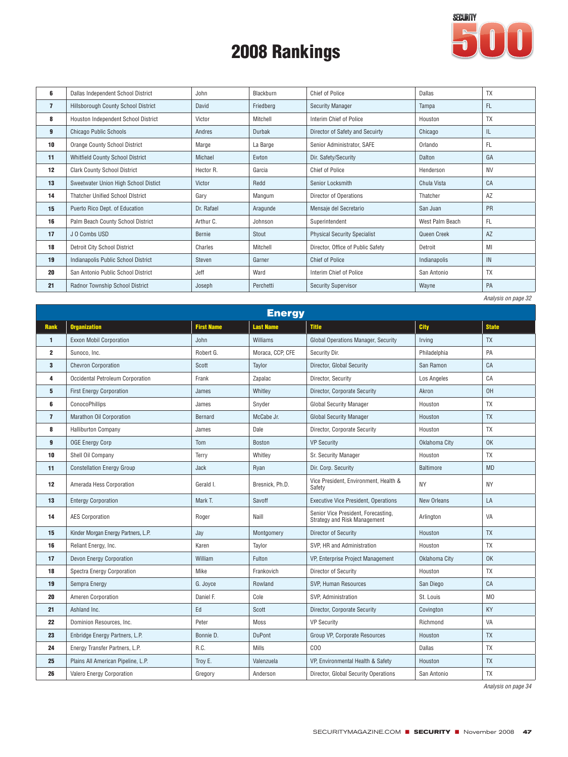

| 6              | Dallas Independent School District      | John       | Blackburn | Chief of Police                     | Dallas          | <b>TX</b> |
|----------------|-----------------------------------------|------------|-----------|-------------------------------------|-----------------|-----------|
| $\overline{7}$ | Hillsborough County School District     | David      | Friedberg | <b>Security Manager</b>             | Tampa           | <b>FL</b> |
| 8              | Houston Independent School District     | Victor     | Mitchell  | Interim Chief of Police             | Houston         | <b>TX</b> |
| 9              | <b>Chicago Public Schools</b>           | Andres     | Durbak    | Director of Safety and Secuirty     | Chicago         | IL        |
| 10             | <b>Orange County School District</b>    | Marge      | La Barge  | Senior Administrator, SAFE          | Orlando         | FL.       |
| 11             | <b>Whitfield County School District</b> | Michael    | Ewton     | Dir. Safety/Security                | Dalton          | GA        |
| 12             | <b>Clark County School District</b>     | Hector R.  | Garcia    | Chief of Police                     | Henderson       | <b>NV</b> |
| 13             | Sweetwater Union High School Distict    | Victor     | Redd      | Senior Locksmith                    | Chula Vista     | CA        |
| 14             | <b>Thatcher Unified School District</b> | Gary       | Mangum    | Director of Operations              | Thatcher        | AZ        |
| 15             | Puerto Rico Dept. of Education          | Dr. Rafael | Aragunde  | Mensaje del Secretario              | San Juan        | <b>PR</b> |
| 16             | Palm Beach County School District       | Arthur C.  | Johnson   | Superintendent                      | West Palm Beach | FL        |
| 17             | J O Combs USD                           | Bernie     | Stout     | <b>Physical Security Specialist</b> | Queen Creek     | AZ        |
| 18             | Detroit City School District            | Charles    | Mitchell  | Director, Office of Public Safety   | Detroit         | MI        |
| 19             | Indianapolis Public School District     | Steven     | Garner    | <b>Chief of Police</b>              | Indianapolis    | IN        |
| 20             | San Antonio Public School District      | Jeff       | Ward      | Interim Chief of Police             | San Antonio     | <b>TX</b> |
| 21             | Radnor Township School District         | Joseph     | Perchetti | <b>Security Supervisor</b>          | Wayne           | PA        |
|                |                                         |            |           |                                     |                 |           |

*Analysis on page 32*

|                | <b>Energy</b>                       |                   |                  |                                                                            |                  |                |  |  |  |  |
|----------------|-------------------------------------|-------------------|------------------|----------------------------------------------------------------------------|------------------|----------------|--|--|--|--|
| <b>Rank</b>    | <b>Organization</b>                 | <b>First Name</b> | <b>Last Name</b> | <b>Title</b>                                                               | <b>City</b>      | <b>State</b>   |  |  |  |  |
| $\blacksquare$ | <b>Exxon Mobil Corporation</b>      | John              | Williams         | Global Operations Manager, Security                                        | Irving           | <b>TX</b>      |  |  |  |  |
| $\mathbf{2}$   | Sunoco, Inc.                        | Robert G.         | Moraca, CCP, CFE | Security Dir.                                                              | Philadelphia     | PA             |  |  |  |  |
| 3              | <b>Chevron Corporation</b>          | Scott             | Taylor           | Director, Global Security                                                  | San Ramon        | CA             |  |  |  |  |
| 4              | Occidental Petroleum Corporation    | Frank             | Zapalac          | Director, Security                                                         | Los Angeles      | CA             |  |  |  |  |
| 5              | <b>First Energy Corporation</b>     | James             | Whitley          | Director, Corporate Security                                               | Akron            | 0H             |  |  |  |  |
| 6              | ConocoPhillips                      | James             | Snyder           | <b>Global Security Manager</b>                                             | Houston          | <b>TX</b>      |  |  |  |  |
| $\overline{7}$ | Marathon Oil Corporation            | Bernard           | McCabe Jr.       | <b>Global Security Manager</b>                                             | Houston          | <b>TX</b>      |  |  |  |  |
| 8              | <b>Halliburton Company</b>          | James             | Dale             | Director, Corporate Security                                               | Houston          | TX             |  |  |  |  |
| 9              | <b>OGE Energy Corp</b>              | Tom               | Boston           | <b>VP Security</b>                                                         | Oklahoma City    | <b>OK</b>      |  |  |  |  |
| 10             | Shell Oil Company                   | Terry             | Whitley          | Sr. Security Manager                                                       | Houston          | <b>TX</b>      |  |  |  |  |
| 11             | <b>Constellation Energy Group</b>   | Jack              | Ryan             | Dir. Corp. Security                                                        | <b>Baltimore</b> | <b>MD</b>      |  |  |  |  |
| 12             | Amerada Hess Corporation            | Gerald I.         | Bresnick, Ph.D.  | Vice President, Environment, Health &<br>Safety                            | <b>NY</b>        | <b>NY</b>      |  |  |  |  |
| 13             | <b>Entergy Corporation</b>          | Mark T.           | Savoff           | <b>Executive Vice President, Operations</b>                                | New Orleans      | LA             |  |  |  |  |
| 14             | <b>AES Corporation</b>              | Roger             | Naill            | Senior Vice President, Forecasting,<br><b>Strategy and Risk Management</b> | Arlington        | VA             |  |  |  |  |
| 15             | Kinder Morgan Energy Partners, L.P. | Jay               | Montgomery       | Director of Security                                                       | Houston          | <b>TX</b>      |  |  |  |  |
| 16             | Reliant Energy, Inc.                | Karen             | Taylor           | SVP. HR and Administration                                                 | Houston          | <b>TX</b>      |  |  |  |  |
| 17             | Devon Energy Corporation            | William           | Fulton           | VP, Enterprise Project Management                                          | Oklahoma City    | <b>OK</b>      |  |  |  |  |
| 18             | <b>Spectra Energy Corporation</b>   | Mike              | Frankovich       | Director of Security                                                       | Houston          | <b>TX</b>      |  |  |  |  |
| 19             | Sempra Energy                       | G. Joyce          | Rowland          | SVP, Human Resources                                                       | San Diego        | CA             |  |  |  |  |
| 20             | Ameren Corporation                  | Daniel F.         | Cole             | SVP, Administration                                                        | St. Louis        | M <sub>0</sub> |  |  |  |  |
| 21             | Ashland Inc.                        | Ed                | Scott            | Director, Corporate Security                                               | Covington        | KY             |  |  |  |  |
| 22             | Dominion Resources, Inc.            | Peter             | Moss             | <b>VP Security</b>                                                         | Richmond         | VA             |  |  |  |  |
| 23             | Enbridge Energy Partners, L.P.      | Bonnie D.         | <b>DuPont</b>    | Group VP, Corporate Resources                                              | Houston          | <b>TX</b>      |  |  |  |  |
| 24             | Energy Transfer Partners, L.P.      | R.C.              | Mills            | COO                                                                        | Dallas           | <b>TX</b>      |  |  |  |  |
| 25             | Plains All American Pipeline, L.P.  | Troy E.           | Valenzuela       | VP, Environmental Health & Safety                                          | Houston          | <b>TX</b>      |  |  |  |  |
| 26             | Valero Energy Corporation           | Gregory           | Anderson         | Director, Global Security Operations                                       | San Antonio      | <b>TX</b>      |  |  |  |  |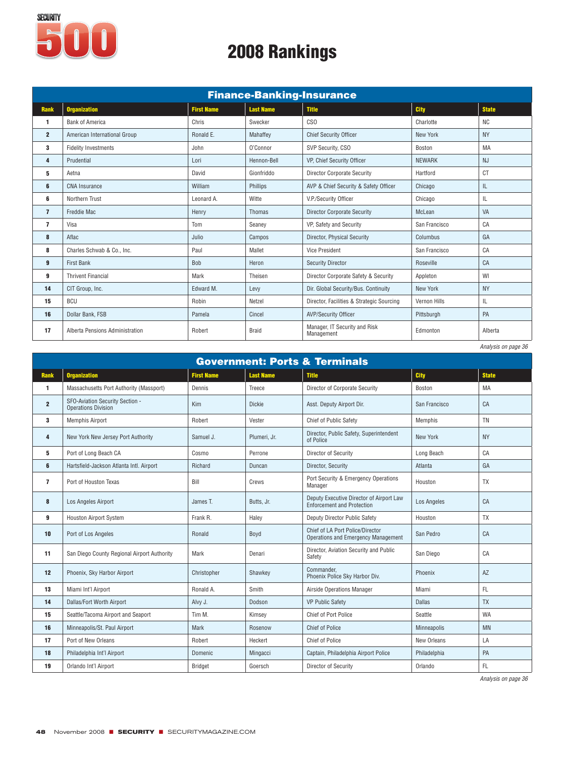

|                | <b>Finance-Banking-Insurance</b> |                   |                  |                                             |                 |                     |  |  |  |
|----------------|----------------------------------|-------------------|------------------|---------------------------------------------|-----------------|---------------------|--|--|--|
| <b>Rank</b>    | <b>Organization</b>              | <b>First Name</b> | <b>Last Name</b> | <b>Title</b>                                | <b>City</b>     | <b>State</b>        |  |  |  |
| 1              | <b>Bank of America</b>           | Chris             | Swecker          | CS <sub>0</sub>                             | Charlotte       | <b>NC</b>           |  |  |  |
| $\overline{2}$ | American International Group     | Ronald E.         | Mahaffey         | <b>Chief Security Officer</b>               | <b>New York</b> | <b>NY</b>           |  |  |  |
| 3              | <b>Fidelity Investments</b>      | John              | O'Connor         | SVP Security, CSO                           | Boston          | MA                  |  |  |  |
| 4              | Prudential                       | Lori              | Hennon-Bell      | VP, Chief Security Officer                  | <b>NEWARK</b>   | <b>NJ</b>           |  |  |  |
| 5              | Aetna                            | David             | Gionfriddo       | <b>Director Corporate Security</b>          | Hartford        | <b>CT</b>           |  |  |  |
| 6              | CNA Insurance                    | William           | Phillips         | AVP & Chief Security & Safety Officer       | Chicago         | IL                  |  |  |  |
| 6              | Northern Trust                   | Leonard A.        | Witte            | V.P./Security Officer                       | Chicago         | IL                  |  |  |  |
| $\overline{7}$ | <b>Freddie Mac</b>               | Henry             | Thomas           | <b>Director Corporate Security</b>          | McLean          | VA                  |  |  |  |
| $\overline{ }$ | Visa                             | Tom               | Seanev           | VP, Safety and Security                     | San Francisco   | CA                  |  |  |  |
| 8              | Aflac                            | Julio             | Campos           | Director, Physical Security                 | Columbus        | GA                  |  |  |  |
| 8              | Charles Schwab & Co., Inc.       | Paul              | Mallet           | <b>Vice President</b>                       | San Francisco   | CA                  |  |  |  |
| 9              | <b>First Bank</b>                | Bob               | Heron            | <b>Security Director</b>                    | Roseville       | CA                  |  |  |  |
| 9              | <b>Thrivent Financial</b>        | Mark              | Theisen          | Director Corporate Safety & Security        | Appleton        | WI                  |  |  |  |
| 14             | CIT Group, Inc.                  | Edward M.         | Levy             | Dir. Global Security/Bus. Continuity        | New York        | <b>NY</b>           |  |  |  |
| 15             | <b>BCU</b>                       | Robin             | Netzel           | Director, Facilities & Strategic Sourcing   | Vernon Hills    | IL                  |  |  |  |
| 16             | Dollar Bank, FSB                 | Pamela            | Cincel           | <b>AVP/Security Officer</b>                 | Pittsburgh      | PA                  |  |  |  |
| 17             | Alberta Pensions Administration  | Robert            | <b>Braid</b>     | Manager, IT Security and Risk<br>Management | Edmonton        | Alberta             |  |  |  |
|                |                                  |                   |                  |                                             |                 | Analysis on page 36 |  |  |  |

| <b>Government: Ports &amp; Terminals</b> |                                                               |                   |                  |                                                                                |               |              |  |  |  |
|------------------------------------------|---------------------------------------------------------------|-------------------|------------------|--------------------------------------------------------------------------------|---------------|--------------|--|--|--|
| <b>Rank</b>                              | <b>Organization</b>                                           | <b>First Name</b> | <b>Last Name</b> | <b>Title</b>                                                                   | <b>City</b>   | <b>State</b> |  |  |  |
| 1                                        | Massachusetts Port Authority (Massport)                       | Dennis            | Treece           | Director of Corporate Security                                                 | Boston        | MA           |  |  |  |
| $\overline{2}$                           | SFO-Aviation Security Section -<br><b>Operations Division</b> | Kim               | <b>Dickie</b>    | Asst. Deputy Airport Dir.                                                      | San Francisco | CA           |  |  |  |
| 3                                        | <b>Memphis Airport</b>                                        | Robert            | Vester           | <b>Chief of Public Safety</b>                                                  | Memphis       | <b>TN</b>    |  |  |  |
| 4                                        | New York New Jersey Port Authority                            | Samuel J.         | Plumeri, Jr.     | Director, Public Safety, Superintendent<br>of Police                           | New York      | <b>NY</b>    |  |  |  |
| 5                                        | Port of Long Beach CA                                         | Cosmo             | Perrone          | Director of Security                                                           | Long Beach    | CA           |  |  |  |
| 6                                        | Hartsfield-Jackson Atlanta Intl. Airport                      | Richard           | Duncan           | Director, Security                                                             | Atlanta       | GA           |  |  |  |
| $\overline{\phantom{a}}$                 | Port of Houston Texas                                         | Bill              | Crews            | Port Security & Emergency Operations<br>Manager                                | Houston       | <b>TX</b>    |  |  |  |
| 8                                        | Los Angeles Airport                                           | James T.          | Butts, Jr.       | Deputy Executive Director of Airport Law<br><b>Enforcement and Protection</b>  | Los Angeles   | CA           |  |  |  |
| 9                                        | <b>Houston Airport System</b>                                 | Frank R.          | Haley            | Deputy Director Public Safety                                                  | Houston       | <b>TX</b>    |  |  |  |
| 10                                       | Port of Los Angeles                                           | Ronald            | Boyd             | Chief of LA Port Police/Director<br><b>Operations and Emergency Management</b> | San Pedro     | CA           |  |  |  |
| 11                                       | San Diego County Regional Airport Authority                   | Mark              | Denari           | Director, Aviation Security and Public<br>Safety                               | San Diego     | CA           |  |  |  |
| 12                                       | Phoenix, Sky Harbor Airport                                   | Christopher       | Shawkey          | Commander.<br>Phoenix Police Sky Harbor Div.                                   | Phoenix       | AZ           |  |  |  |
| 13                                       | Miami Int'l Airport                                           | Ronald A.         | Smith            | Airside Operations Manager                                                     | Miami         | FL           |  |  |  |
| 14                                       | Dallas/Fort Worth Airport                                     | Alvy J.           | Dodson           | <b>VP Public Safety</b>                                                        | <b>Dallas</b> | <b>TX</b>    |  |  |  |
| 15                                       | Seattle/Tacoma Airport and Seaport                            | Tim M.            | Kimsey           | Chief of Port Police                                                           | Seattle       | <b>WA</b>    |  |  |  |
| 16                                       | Minneapolis/St. Paul Airport                                  | <b>Mark</b>       | Rosenow          | <b>Chief of Police</b>                                                         | Minneapolis   | <b>MN</b>    |  |  |  |
| 17                                       | Port of New Orleans                                           | Robert            | Heckert          | <b>Chief of Police</b>                                                         | New Orleans   | LA           |  |  |  |
| 18                                       | Philadelphia Int'l Airport                                    | Domenic           | Mingacci         | Captain, Philadelphia Airport Police                                           | Philadelphia  | PA           |  |  |  |
| 19                                       | Orlando Int'l Airport                                         | <b>Bridget</b>    | Goersch          | Director of Security                                                           | Orlando       | FL.          |  |  |  |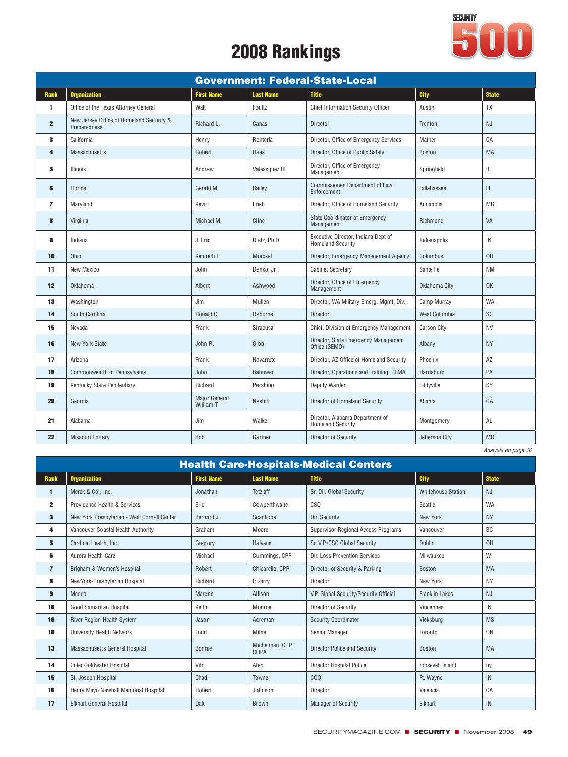

|                |                                                          |                                    |                  | <b>Government: Federal-State-Local</b>                          |                    |                |
|----------------|----------------------------------------------------------|------------------------------------|------------------|-----------------------------------------------------------------|--------------------|----------------|
| <b>Rank</b>    | <b>Organization</b>                                      | <b>First Name</b>                  | <b>Last Name</b> | <b>Title</b>                                                    | City               | <b>State</b>   |
| $\mathbf{1}$   | Office of the Texas Attorney General                     | Walt                               | Foultz           | Chief Information Security Officer                              | Austin             | <b>TX</b>      |
| $\overline{2}$ | New Jersey Office of Homeland Security &<br>Preparedness | Richard L.                         | Canas            | Director                                                        | Trenton            | <b>NJ</b>      |
| 3              | California                                               | Henry                              | Renteria         | Director, Office of Emergency Services                          | Mather             | C A            |
| 4              | Massachusetts                                            | Robert                             | Haas             | Director, Office of Public Safety                               | <b>Boston</b>      | <b>MA</b>      |
| 5              | Illinois                                                 | Andrew                             | Valeasquez III   | Director, Office of Emergency<br>Management                     | Springfield        | IL             |
| 6              | Florida                                                  | Gerald M.                          | Bailey           | Commissioner, Department of Law<br>Enforcement                  | Tallahassee        | FL.            |
| $\overline{7}$ | Maryland                                                 | Kevin                              | Loeb             | Director, Office of Homeland Security                           | Annapolis          | <b>MD</b>      |
| 8              | Virginia                                                 | Michael M.                         | Cline            | <b>State Coordinator of Emergency</b><br>Management             | Richmond           | VA             |
| 9              | Indiana                                                  | J. Eric                            | Dietz, Ph.D      | Executive Director, Indiana Dept of<br><b>Homeland Security</b> | Indianapolis       | IN             |
| 10             | Ohio                                                     | Kenneth L.                         | Morckel          | Director, Emergency Management Agency                           | Columbus           | 0H             |
| 11             | New Mexico                                               | John                               | Denko, Jr.       | Cabinet Secretary                                               | Sante Fe           | <b>NM</b>      |
| 12             | Oklahoma                                                 | Albert                             | Ashwood          | Director, Office of Emergency<br>Management                     | Oklahoma City      | 0K             |
| 13             | Washington                                               | Jim                                | Mullen           | Director, WA Military Emerg. Mgmt. Div.                         | Camp Murray        | <b>WA</b>      |
| 14             | South Carolina                                           | Ronald C.                          | Osborne          | Director                                                        | West Columbia      | <b>SC</b>      |
| 15             | Nevada                                                   | Frank                              | Siracusa         | Chief, Division of Emergency Management                         | <b>Carson City</b> | <b>NV</b>      |
| 16             | <b>New York State</b>                                    | John R.                            | Gibb             | Director, State Emergency Management<br>Office (SEMO)           | Albany             | <b>NY</b>      |
| 17             | Arizona                                                  | Frank                              | Navarrete        | Director, AZ Office of Homeland Security                        | Phoenix            | AZ             |
| 18             | Commonwealth of Pennsylvania                             | John                               | Bahnweg          | Director, Operations and Training, PEMA                         | Harrisburg         | PA             |
| 19             | Kentucky State Penitentiary                              | Richard                            | Pershing         | Deputy Warden                                                   | Eddyville          | KY             |
| 20             | Georgia                                                  | <b>Major General</b><br>William T. | Nesbitt          | Director of Homeland Security                                   | Atlanta            | GA             |
| 21             | Alabama                                                  | Jim                                | Walker           | Director, Alabama Department of<br><b>Homeland Security</b>     | Montgomery         | AL             |
| 22             | Missouri Lottery                                         | Bob                                | Gartner          | Director of Security                                            | Jefferson City     | M <sub>0</sub> |

| Analysis on page 38 |
|---------------------|
|                     |
|                     |

|                | <b>Health Care-Hospitals-Medical Centers</b> |                   |                         |                                        |                           |              |  |  |  |
|----------------|----------------------------------------------|-------------------|-------------------------|----------------------------------------|---------------------------|--------------|--|--|--|
| <b>Rank</b>    | <b>Organization</b>                          | <b>First Name</b> | <b>Last Name</b>        | <b>Title</b>                           | <b>City</b>               | <b>State</b> |  |  |  |
| 1              | Merck & Co., Inc.                            | Jonathan          | <b>Tetzlaff</b>         | Sr. Dir. Global Security               | <b>Whitehouse Station</b> | <b>NJ</b>    |  |  |  |
| $\mathbf{2}$   | Providence Health & Services                 | Eric              | Cowperthwaite           | CS <sub>0</sub>                        | Seattle                   | <b>WA</b>    |  |  |  |
| 3              | New York Presbyterian - Weill Cornell Center | Bernard J.        | Scaglione               | Dir. Security                          | New York                  | <b>NY</b>    |  |  |  |
| 4              | Vancouver Coastal Health Authority           | Graham            | Moore                   | Supervisor Regional Access Programs    | Vancouver                 | <b>BC</b>    |  |  |  |
| 5              | Cardinal Health, Inc.                        | Gregory           | Halvacs                 | Sr. V.P./CSO Global Security           | <b>Dublin</b>             | 0H           |  |  |  |
| 6              | Aurora Health Care                           | Michael           | Cummings, CPP           | Dir. Loss Prevention Services          | Milwaukee                 | WI           |  |  |  |
| $\overline{7}$ | Brigham & Women's Hospital                   | Robert            | Chicarello, CPP         | Director of Security & Parking         | <b>Boston</b>             | <b>MA</b>    |  |  |  |
| 8              | NewYork-Presbyterian Hospital                | Richard           | Irizarry                | Director                               | New York                  | <b>NY</b>    |  |  |  |
| 9              | Medco                                        | Marene            | Allison                 | V.P. Global Security/Security Official | <b>Franklin Lakes</b>     | <b>NJ</b>    |  |  |  |
| 10             | Good Samaritan Hospital                      | Keith             | Monroe                  | Director of Security                   | Vincennes                 | IN           |  |  |  |
| 10             | River Region Health System                   | Jason             | Acreman                 | Security Coordinator                   | Vicksburg                 | <b>MS</b>    |  |  |  |
| 10             | University Health Network                    | Todd              | Milne                   | Senior Manager                         | Toronto                   | <b>ON</b>    |  |  |  |
| 13             | Massachusetts General Hospital               | Bonnie            | Michelman, CPP,<br>CHPA | <b>Director Police and Security</b>    | <b>Boston</b>             | <b>MA</b>    |  |  |  |
| 14             | <b>Coler Goldwater Hospital</b>              | Vito              | Aleo                    | <b>Director Hospital Police</b>        | roosevelt island          | ny           |  |  |  |
| 15             | St. Joseph Hospital                          | Chad              | Towner                  | COO                                    | Ft. Wayne                 | IN           |  |  |  |
| 16             | Henry Mayo Newhall Memorial Hospital         | Robert            | Johnson                 | Director                               | Valencia                  | CA           |  |  |  |
| 17             | <b>Elkhart General Hospital</b>              | Dale              | <b>Brown</b>            | Manager of Security                    | Elkhart                   | IN           |  |  |  |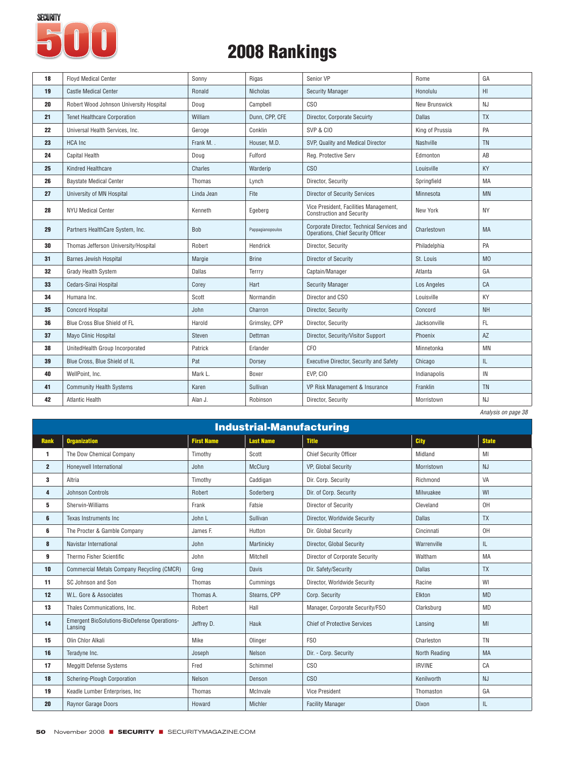

| 18 | <b>Floyd Medical Center</b>             | Sonny      | Rigas            | Senior VP                                                                        | Rome                 | GA             |
|----|-----------------------------------------|------------|------------------|----------------------------------------------------------------------------------|----------------------|----------------|
| 19 | <b>Castle Medical Center</b>            | Ronald     | <b>Nicholas</b>  | <b>Security Manager</b>                                                          | Honolulu             | H1             |
| 20 | Robert Wood Johnson University Hospital | Doug       | Campbell         | CS <sub>0</sub>                                                                  | <b>New Brunswick</b> | NJ             |
| 21 | <b>Tenet Healthcare Corporation</b>     | William    | Dunn, CPP, CFE   | Director, Corporate Secuirty                                                     | <b>Dallas</b>        | <b>TX</b>      |
| 22 | Universal Health Services, Inc.         | Geroge     | Conklin          | SVP & CIO                                                                        | King of Prussia      | PA             |
| 23 | <b>HCA</b> Inc                          | Frank M.   | Houser, M.D.     | SVP, Quality and Medical Director                                                | Nashville            | <b>TN</b>      |
| 24 | Capital Health                          | Doug       | Fulford          | Reg. Protective Serv                                                             | Edmonton             | AB             |
| 25 | Kindred Healthcare                      | Charles    | Warderip         | CSO                                                                              | Louisville           | KY             |
| 26 | <b>Baystate Medical Center</b>          | Thomas     | Lynch            | Director, Security                                                               | Springfield          | MA             |
| 27 | University of MN Hospital               | Linda Jean | Fite             | <b>Director of Security Services</b>                                             | Minnesota            | <b>MN</b>      |
| 28 | <b>NYU Medical Center</b>               | Kenneth    | Egeberg          | Vice President, Facilities Management,<br><b>Construction and Security</b>       | New York             | <b>NY</b>      |
| 29 | Partners HealthCare System, Inc.        | <b>Bob</b> | Pappagianopoulos | Corporate Director, Technical Services and<br>Operations. Chief Security Officer | Charlestown          | MA             |
| 30 | Thomas Jefferson University/Hospital    | Robert     | Hendrick         | Director, Security                                                               | Philadelphia         | PA             |
| 31 | <b>Barnes Jewish Hospital</b>           | Margie     | <b>Brine</b>     | Director of Security                                                             | St. Louis            | M <sub>0</sub> |
| 32 | Grady Health System                     | Dallas     | Terrry           | Captain/Manager                                                                  | Atlanta              | GA             |
| 33 | Cedars-Sinai Hospital                   | Corey      | Hart             | <b>Security Manager</b>                                                          | Los Angeles          | CA             |
| 34 | Humana Inc.                             | Scott      | Normandin        | Director and CSO                                                                 | Louisville           | KY             |
| 35 | <b>Concord Hospital</b>                 | John       | Charron          | Director, Security                                                               | Concord              | <b>NH</b>      |
| 36 | Blue Cross Blue Shield of FL            | Harold     | Grimsley, CPP    | Director, Security                                                               | Jacksonville         | FL.            |
| 37 | Mayo Clinic Hospital                    | Steven     | Dettman          | Director, Security/Visitor Support                                               | Phoenix              | AZ             |
| 38 | UnitedHealth Group Incorporated         | Patrick    | Erlander         | CF <sub>O</sub>                                                                  | Minnetonka           | <b>MN</b>      |
| 39 | Blue Cross, Blue Shield of IL           | Pat        | Dorsey           | Executive Director, Security and Safety                                          | Chicago              | IL             |
| 40 | WellPoint, Inc.                         | Mark L.    | Boxer            | EVP, CIO                                                                         | Indianapolis         | IN             |
| 41 | <b>Community Health Systems</b>         | Karen      | Sullivan         | VP Risk Management & Insurance                                                   | Franklin             | <b>TN</b>      |
| 42 | <b>Atlantic Health</b>                  | Alan J.    | Robinson         | Director, Security                                                               | Morristown           | NJ             |
|    |                                         |            |                  |                                                                                  |                      |                |

|                | <b>Industrial-Manufacturing</b>                                |                   |                  |                                     |               |              |  |  |  |
|----------------|----------------------------------------------------------------|-------------------|------------------|-------------------------------------|---------------|--------------|--|--|--|
| <b>Rank</b>    | <b>Organization</b>                                            | <b>First Name</b> | <b>Last Name</b> | <b>Title</b>                        | <b>City</b>   | <b>State</b> |  |  |  |
| 1              | The Dow Chemical Company                                       | Timothy           | Scott            | Chief Security Officer              | Midland       | MI           |  |  |  |
| $\overline{2}$ | Honeywell International                                        | John              | McClurg          | VP, Global Security                 | Morristown    | <b>NJ</b>    |  |  |  |
| 3              | Altria                                                         | Timothy           | Caddigan         | Dir. Corp. Security                 | Richmond      | VA           |  |  |  |
| 4              | Johnson Controls                                               | Robert            | Soderberg        | Dir. of Corp. Security              | Milwuakee     | WI           |  |  |  |
| 5              | Sherwin-Williams                                               | Frank             | Fatsie           | Director of Security                | Cleveland     | 0H           |  |  |  |
| 6              | Texas Instruments Inc                                          | John L            | Sullivan         | Director, Worldwide Security        | <b>Dallas</b> | <b>TX</b>    |  |  |  |
| 6              | The Procter & Gamble Company                                   | James F.          | Hutton           | Dir. Global Security                | Cincinnati    | OH           |  |  |  |
| 8              | Navistar International                                         | John              | Martinicky       | Director, Global Security           | Warrenville   | IL           |  |  |  |
| 9              | Thermo Fisher Scientific                                       | John              | Mitchell         | Director of Corporate Security      | Waltham       | MA           |  |  |  |
| 10             | Commercial Metals Company Recycling (CMCR)                     | Grea              | <b>Davis</b>     | Dir. Safety/Security                | <b>Dallas</b> | <b>TX</b>    |  |  |  |
| 11             | SC Johnson and Son                                             | Thomas            | Cumminas         | Director, Worldwide Security        | Racine        | WI           |  |  |  |
| 12             | W.L. Gore & Associates                                         | Thomas A.         | Stearns, CPP     | Corp. Security                      | Elkton        | <b>MD</b>    |  |  |  |
| 13             | Thales Communications, Inc.                                    | Robert            | Hall             | Manager, Corporate Security/FSO     | Clarksburg    | <b>MD</b>    |  |  |  |
| 14             | <b>Emergent BioSolutions-BioDefense Operations-</b><br>Lansing | Jeffrey D.        | Hauk             | <b>Chief of Protective Services</b> | Lansing       | MI           |  |  |  |
| 15             | Olin Chlor Alkali                                              | Mike              | Olinger          | FS <sub>0</sub>                     | Charleston    | <b>TN</b>    |  |  |  |
| 16             | Teradyne Inc.                                                  | Joseph            | Nelson           | Dir. - Corp. Security               | North Reading | <b>MA</b>    |  |  |  |
| 17             | <b>Meggitt Defense Systems</b>                                 | Fred              | Schimmel         | CSO                                 | <b>IRVINE</b> | CA           |  |  |  |
| 18             | Schering-Plough Corporation                                    | Nelson            | Denson           | C <sub>SO</sub>                     | Kenilworth    | <b>NJ</b>    |  |  |  |
| 19             | Keadle Lumber Enterprises, Inc.                                | Thomas            | McInvale         | <b>Vice President</b>               | Thomaston     | GA           |  |  |  |
| 20             | Raynor Garage Doors                                            | Howard            | Michler          | <b>Facility Manager</b>             | Dixon         | IL           |  |  |  |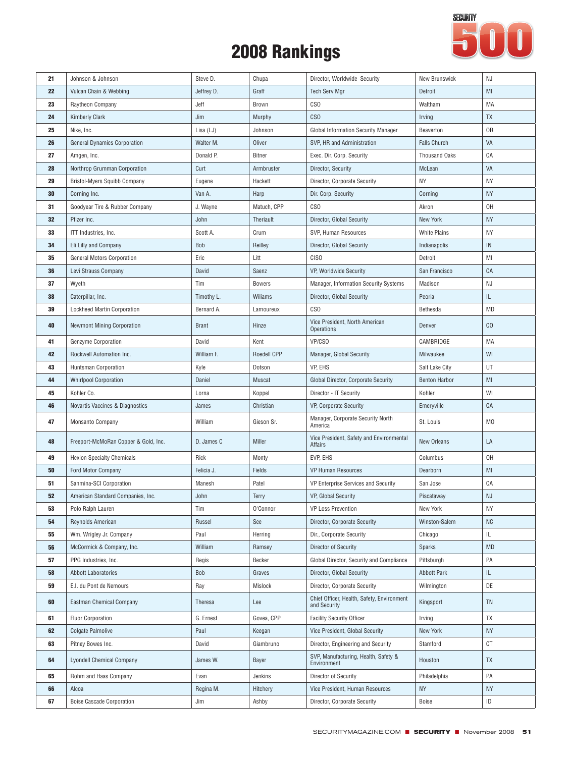

| 21 | Johnson & Johnson                    | Steve D.     | Chupa         | Director, Worldwide Security                               | <b>New Brunswick</b> | NJ             |
|----|--------------------------------------|--------------|---------------|------------------------------------------------------------|----------------------|----------------|
| 22 | Vulcan Chain & Webbing               | Jeffrey D.   | Graff         | <b>Tech Serv Mgr</b>                                       | Detroit              | MI             |
| 23 | Raytheon Company                     | Jeff         | Brown         | CS <sub>0</sub>                                            | Waltham              | MA             |
| 24 | <b>Kimberly Clark</b>                | Jim          | Murphy        | C <sub>SO</sub>                                            | Irving               | <b>TX</b>      |
| 25 | Nike, Inc.                           | Lisa (LJ)    | Johnson       | Global Information Security Manager                        | Beaverton            | 0R             |
| 26 | <b>General Dynamics Corporation</b>  | Walter M.    | Oliver        | SVP, HR and Administration                                 | <b>Falls Church</b>  | VA             |
| 27 | Amgen, Inc.                          | Donald P.    | Bitner        | Exec. Dir. Corp. Security                                  | <b>Thousand Oaks</b> | CA             |
| 28 | Northrop Grumman Corporation         | Curt         | Armbruster    | Director, Security                                         | McLean               | VA             |
| 29 | <b>Bristol-Myers Squibb Company</b>  | Eugene       | Hackett       | Director, Corporate Security                               | ΝY                   | <b>NY</b>      |
| 30 | Corning Inc.                         | Van A.       | Harp          | Dir. Corp. Security                                        | Corning              | <b>NY</b>      |
| 31 | Goodyear Tire & Rubber Company       | J. Wayne     | Matuch, CPP   | CS <sub>0</sub>                                            | Akron                | 0H             |
| 32 | Pfizer Inc.                          | John         | Theriault     | Director, Global Security                                  | New York             | <b>NY</b>      |
| 33 | ITT Industries, Inc.                 | Scott A.     | Crum          | SVP, Human Resources                                       | <b>White Plains</b>  | <b>NY</b>      |
| 34 | Eli Lilly and Company                | Bob          | Reilley       | Director, Global Security                                  | Indianapolis         | IN             |
| 35 | General Motors Corporation           | Eric         | Litt          | <b>CISO</b>                                                | Detroit              | MI             |
| 36 | Levi Strauss Company                 | David        | Saenz         | VP, Worldwide Security                                     | San Francisco        | CA             |
| 37 | Wyeth                                | Tim          | <b>Bowers</b> | Manager, Information Security Systems                      | Madison              | ΝJ             |
| 38 | Caterpillar, Inc.                    | Timothy L.   | Wiliams       | Director, Global Security                                  | Peoria               | IL             |
| 39 | <b>Lockheed Martin Corporation</b>   | Bernard A.   | Lamoureux     | CS <sub>0</sub>                                            | Bethesda             | MD             |
| 40 | <b>Newmont Mining Corporation</b>    | <b>Brant</b> | Hinze         | Vice President, North American<br><b>Operations</b>        | Denver               | CO             |
| 41 | Genzyme Corporation                  | David        | Kent          | VP/CSO                                                     | CAMBRIDGE            | MA             |
| 42 | Rockwell Automation Inc.             | William F.   | Roedell CPP   | Manager, Global Security                                   | Milwaukee            | WI             |
| 43 | <b>Huntsman Corporation</b>          | Kyle         | Dotson        | VP, EHS                                                    | Salt Lake City       | UT             |
| 44 | <b>Whirlpool Corporation</b>         | Daniel       | Muscat        | Global Director, Corporate Security                        | <b>Benton Harbor</b> | MI             |
| 45 | Kohler Co.                           | Lorna        | Koppel        | Director - IT Security                                     | Kohler               | WI             |
| 46 | Novartis Vaccines & Diagnostics      | James        | Christian     | VP, Corporate Security                                     | Emeryville           | CA             |
| 47 | Monsanto Company                     | William      | Gieson Sr.    | Manager, Corporate Security North<br>America               | St. Louis            | M <sub>0</sub> |
| 48 | Freeport-McMoRan Copper & Gold, Inc. | D. James C   | Miller        | Vice President, Safety and Environmental<br>Affairs        | New Orleans          | LA             |
| 49 | <b>Hexion Specialty Chemicals</b>    | Rick         | Monty         | EVP, EHS                                                   | Columbus             | 0H             |
| 50 | Ford Motor Company                   | Felicia J.   | Fields        | <b>VP Human Resources</b>                                  | Dearborn             | MI             |
| 51 | Sanmina-SCI Corporation              | Manesh       | Patel         | VP Enterprise Services and Security                        | San Jose             | CA             |
| 52 | American Standard Companies, Inc.    | John         | <b>Terry</b>  | VP, Global Security                                        | Piscataway           | <b>NJ</b>      |
| 53 | Polo Ralph Lauren                    | Tim          | O'Connor      | <b>VP Loss Prevention</b>                                  | New York             | <b>NY</b>      |
| 54 | Reynolds American                    | Russel       | See           | Director, Corporate Security                               | Winston-Salem        | <b>NC</b>      |
| 55 | Wm. Wrigley Jr. Company              | Paul         | Herring       | Dir., Corporate Security                                   | Chicago              | IL             |
| 56 | McCormick & Company, Inc.            | William      | Ramsey        | <b>Director of Security</b>                                | Sparks               | <b>MD</b>      |
| 57 | PPG Industries, Inc.                 | Regis        | Becker        | Global Director, Security and Compliance                   | Pittsburgh           | PA             |
| 58 | <b>Abbott Laboratories</b>           | Bob          | Graves        | Director, Global Security                                  | <b>Abbott Park</b>   | IL             |
| 59 | E.I. du Pont de Nemours              | Ray          | Mislock       | Director, Corporate Security                               | Wilmington           | DE             |
| 60 | <b>Eastman Chemical Company</b>      | Theresa      | Lee           | Chief Officer, Health, Safety, Environment<br>and Security | Kingsport            | TN             |
| 61 | <b>Fluor Corporation</b>             | G. Ernest    | Govea, CPP    | <b>Facility Security Officer</b>                           | Irving               | <b>TX</b>      |
| 62 | <b>Colgate Palmolive</b>             | Paul         | Keegan        | Vice President, Global Security                            | New York             | <b>NY</b>      |
| 63 | Pitney Bowes Inc.                    | David        | Giambruno     | Director, Engineering and Security                         | Stamford             | СT             |
| 64 | <b>Lyondell Chemical Company</b>     | James W.     | Bayer         | SVP, Manufacturing, Health, Safety &<br>Environment        | Houston              | TX             |
| 65 | Rohm and Haas Company                | Evan         | Jenkins       | Director of Security                                       | Philadelphia         | PA             |
| 66 | Alcoa                                | Regina M.    | Hitchery      | Vice President, Human Resources                            | <b>NY</b>            | <b>NY</b>      |
| 67 | <b>Boise Cascade Corporation</b>     | Jim          | Ashby         | Director, Corporate Security                               | Boise                | ID             |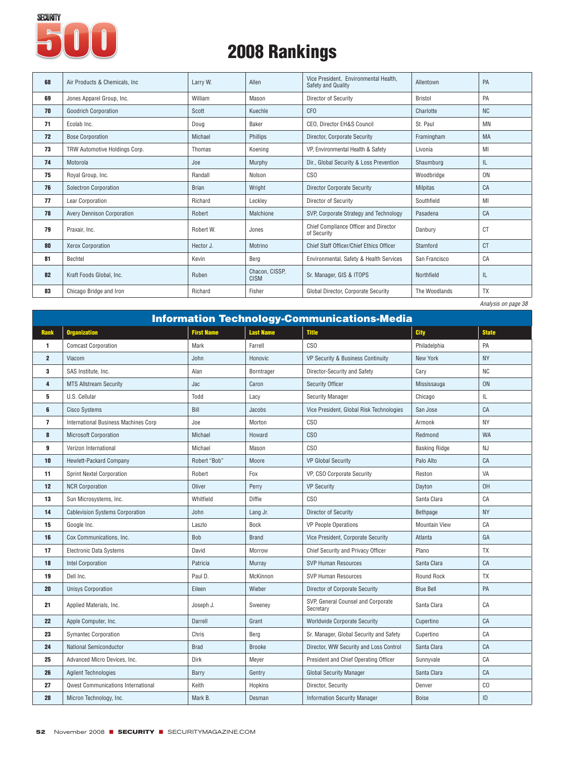

| 68 | Air Products & Chemicals, Inc.    | Larry W.     | Allen                         | Vice President, Environmental Health,<br>Safety and Quality | Allentown       | PA             |
|----|-----------------------------------|--------------|-------------------------------|-------------------------------------------------------------|-----------------|----------------|
| 69 | Jones Apparel Group, Inc.         | William      | Mason                         | Director of Security                                        | <b>Bristol</b>  | PA             |
| 70 | <b>Goodrich Corporation</b>       | Scott        | Kuechle                       | CF <sub>0</sub>                                             | Charlotte       | <b>NC</b>      |
| 71 | Ecolab Inc.                       | Doug         | Baker                         | CEO, Director EH&S Council                                  | St. Paul        | MN             |
| 72 | <b>Bose Corporation</b>           | Michael      | Phillips                      | Director, Corporate Security                                | Framingham      | <b>MA</b>      |
| 73 | TRW Automotive Holdings Corp.     | Thomas       | Koening                       | VP, Environmental Health & Safety                           | Livonia         | MI             |
| 74 | Motorola                          | Joe          | Murphy                        | Dir., Global Security & Loss Prevention                     | Shaumburg       | IL             |
| 75 | Royal Group, Inc.                 | Randall      | Nolson                        | CS <sub>0</sub>                                             | Woodbridge      | 0N             |
| 76 | <b>Solectron Corporation</b>      | <b>Brian</b> | Wright                        | <b>Director Corporate Security</b>                          | <b>Milpitas</b> | CA             |
| 77 | Lear Corporation                  | Richard      | Leckley                       | Director of Security                                        | Southfield      | MI             |
| 78 | <b>Avery Dennison Corporation</b> | Robert       | Malchione                     | SVP, Corporate Strategy and Technology                      | Pasadena        | CA             |
| 79 | Praxair. Inc.                     | Robert W.    | Jones                         | Chief Compliance Officer and Director<br>of Security        | Danbury         | <sub>C</sub> T |
| 80 | <b>Xerox Corporation</b>          | Hector J.    | Motrino                       | Chief Staff Officer/Chief Ethics Officer                    | Stamford        | C <sub>T</sub> |
| 81 | Bechtel                           | Kevin        | Berg                          | Environmental, Safety & Health Services                     | San Francisco   | CA             |
| 82 | Kraft Foods Global, Inc.          | Ruben        | Chacon, CISSP,<br><b>CISM</b> | Sr. Manager, GIS & ITOPS                                    | Northfield      | IL.            |
| 83 | Chicago Bridge and Iron           | Richard      | Fisher                        | Global Director, Corporate Security                         | The Woodlands   | <b>TX</b>      |
|    |                                   |              |                               |                                                             |                 |                |

|                         |                                           |                   |                  | <b>Information Technology-Communications-Media</b> |                      |              |
|-------------------------|-------------------------------------------|-------------------|------------------|----------------------------------------------------|----------------------|--------------|
| <b>Rank</b>             | <b>Organization</b>                       | <b>First Name</b> | <b>Last Name</b> | <b>Title</b>                                       | <b>City</b>          | <b>State</b> |
| 1                       | <b>Comcast Corporation</b>                | Mark              | Farrell          | CS <sub>O</sub>                                    | Philadelphia         | PA           |
| $\overline{2}$          | Viacom                                    | John              | Honovic          | VP Security & Business Continuity                  | <b>New York</b>      | <b>NY</b>    |
| 3                       | SAS Institute, Inc.                       | Alan              | Borntrager       | Director-Security and Safety                       | Cary                 | <b>NC</b>    |
| $\overline{\mathbf{4}}$ | <b>MTS Allstream Security</b>             | Jac               | Caron            | <b>Security Officer</b>                            | Mississauga          | <b>ON</b>    |
| 5                       | U.S. Cellular                             | Todd              | Lacy             | <b>Security Manager</b>                            | Chicago              | IL           |
| 6                       | <b>Cisco Systems</b>                      | Bill              | Jacobs           | Vice President, Global Risk Technologies           | San Jose             | CA           |
| $\overline{7}$          | International Business Machines Corp      | Joe               | Morton           | CS <sub>O</sub>                                    | Armonk               | <b>NY</b>    |
| 8                       | <b>Microsoft Corporation</b>              | Michael           | Howard           | CS <sub>O</sub>                                    | Redmond              | <b>WA</b>    |
| 9                       | Verizon International                     | Michael           | Mason            | CS <sub>O</sub>                                    | <b>Basking Ridge</b> | NJ           |
| 10                      | Hewlett-Packard Company                   | Robert "Bob"      | Moore            | <b>VP Global Security</b>                          | Palo Alto            | CA           |
| 11                      | <b>Sprint Nextel Corporation</b>          | Robert            | Fox              | VP, CSO Corporate Security                         | Reston               | VA           |
| 12                      | <b>NCR Corporation</b>                    | Oliver            | Perry            | <b>VP Security</b>                                 | Dayton               | 0H           |
| 13                      | Sun Microsystems, Inc.                    | Whitfield         | Diffie           | CS <sub>O</sub>                                    | Santa Clara          | CA           |
| 14                      | <b>Cablevision Systems Corporation</b>    | John              | Lang Jr.         | Director of Security                               | Bethpage             | <b>NY</b>    |
| 15                      | Google Inc.                               | Laszlo            | Bock             | <b>VP People Operations</b>                        | <b>Mountain View</b> | CA           |
| 16                      | Cox Communications, Inc.                  | Bob               | <b>Brand</b>     | Vice President, Corporate Security                 | Atlanta              | GA           |
| 17                      | <b>Electronic Data Systems</b>            | David             | Morrow           | Chief Security and Privacy Officer                 | Plano                | <b>TX</b>    |
| 18                      | <b>Intel Corporation</b>                  | Patricia          | Murray           | <b>SVP Human Resources</b>                         | Santa Clara          | CA           |
| 19                      | Dell Inc.                                 | Paul D.           | McKinnon         | <b>SVP Human Resources</b>                         | Round Rock           | TX           |
| 20                      | <b>Unisys Corporation</b>                 | Eileen            | Wieber           | Director of Corporate Security                     | <b>Blue Bell</b>     | PA           |
| 21                      | Applied Materials, Inc.                   | Joseph J.         | Sweeney          | SVP, General Counsel and Corporate<br>Secretary    | Santa Clara          | CA           |
| 22                      | Apple Computer, Inc.                      | Darrell           | Grant            | <b>Worldwide Corporate Security</b>                | Cupertino            | CA           |
| 23                      | <b>Symantec Corporation</b>               | Chris             | Berg             | Sr. Manager, Global Security and Safety            | Cupertino            | CA           |
| 24                      | National Semiconductor                    | <b>Brad</b>       | <b>Brooke</b>    | Director, WW Security and Loss Control             | Santa Clara          | CA           |
| 25                      | Advanced Micro Devices, Inc.              | Dirk              | Meyer            | President and Chief Operating Officer              | Sunnyvale            | CA           |
| 26                      | <b>Agilent Technologies</b>               | Barry             | Gentry           | <b>Global Security Manager</b>                     | Santa Clara          | CA           |
| 27                      | <b>Qwest Communications International</b> | Keith             | Hopkins          | Director, Security                                 | Denver               | CO           |
| 28                      | Micron Technology, Inc.                   | Mark B.           | Desman           | <b>Information Security Manager</b>                | <b>Boise</b>         | ID           |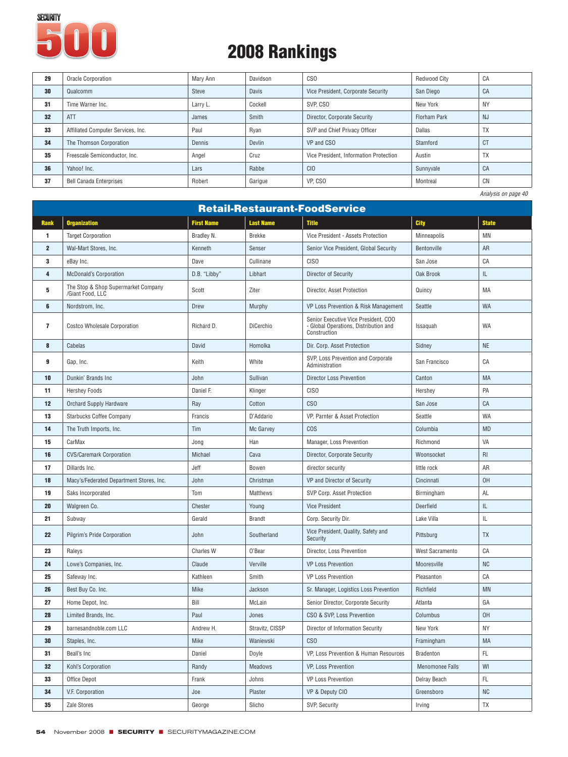

| 29 | Oracle Corporation                 | Mary Ann | Davidson | CS <sub>O</sub>                        | Redwood City        | CA                  |
|----|------------------------------------|----------|----------|----------------------------------------|---------------------|---------------------|
| 30 | Qualcomm                           | Steve    | Davis    | Vice President, Corporate Security     | San Diego           | CA                  |
| 31 | Time Warner Inc.                   | Larry L. | Cockell  | SVP. CSO                               | New York            | <b>NY</b>           |
| 32 | <b>ATT</b>                         | James    | Smith    | Director, Corporate Security           | <b>Florham Park</b> | <b>NJ</b>           |
| 33 | Affiliated Computer Services, Inc. | Paul     | Ryan     | SVP and Chief Privacy Officer          | Dallas              | <b>TX</b>           |
| 34 | The Thomson Corporation            | Dennis   | Devlin   | VP and CSO                             | Stamford            | <sub>C</sub> T      |
| 35 | Freescale Semiconductor, Inc.      | Angel    | Cruz     | Vice President. Information Protection | Austin              | <b>TX</b>           |
| 36 | Yahoo! Inc.                        | Lars     | Rabbe    | C <sub>IO</sub>                        | Sunnyvale           | CA                  |
| 37 | <b>Bell Canada Enterprises</b>     | Robert   | Garigue  | VP. CSO                                | Montreal            | CN                  |
|    |                                    |          |          |                                        |                     | Analysis on page 40 |

|                         | <b>Retail-Restaurant-FoodService</b>                    |                  |                  |                                                                                               |                        |                                   |  |  |
|-------------------------|---------------------------------------------------------|------------------|------------------|-----------------------------------------------------------------------------------------------|------------------------|-----------------------------------|--|--|
| Rank                    | <b>Organization</b>                                     | First Name       | <b>Last Name</b> | <b>Title</b>                                                                                  | City                   | <b>State</b>                      |  |  |
| 1                       | <b>Target Corporation</b>                               | Bradley N.       | <b>Brekke</b>    | Vice President - Assets Protection                                                            | Minneapolis            | MN                                |  |  |
| $\overline{\mathbf{2}}$ | Wal-Mart Stores, Inc.                                   | Kenneth          | Senser           | Senior Vice President, Global Security                                                        | Bentonville            | AR                                |  |  |
| 3                       | eBay Inc.                                               | Dave             | Cullinane        | C <sub>ISO</sub>                                                                              | San Jose               | CA                                |  |  |
| 4                       | <b>McDonald's Corporation</b>                           | D.B. "Libby"     | Libhart          | Director of Security                                                                          | Oak Brook              | $\ensuremath{\mathsf{IL}}\xspace$ |  |  |
| 5                       | The Stop & Shop Supermarket Company<br>/Giant Food, LLC | Scott            | Ziter            | Director, Asset Protection                                                                    | Quincy                 | MA                                |  |  |
| 6                       | Nordstrom, Inc.                                         | Drew             | Murphy           | VP Loss Prevention & Risk Management                                                          | Seattle                | WA                                |  |  |
| $\overline{7}$          | Costco Wholesale Corporation                            | Richard D.       | DiCerchio        | Senior Executive Vice President, COO<br>- Global Operations, Distribution and<br>Construction | Issaquah               | <b>WA</b>                         |  |  |
| 8                       | Cabelas                                                 | David            | Homolka          | Dir. Corp. Asset Protection                                                                   | Sidney                 | <b>NE</b>                         |  |  |
| 9                       | Gap, Inc.                                               | Keith            | White            | SVP, Loss Prevention and Corporate<br>Administration                                          | San Francisco          | CA                                |  |  |
| 10                      | Dunkin' Brands Inc                                      | John             | Sullivan         | <b>Director Loss Prevention</b>                                                               | Canton                 | MA                                |  |  |
| 11                      | <b>Hershey Foods</b>                                    | Daniel F.        | Klinger          | CISO                                                                                          | Hershey                | PA                                |  |  |
| 12                      | <b>Orchard Supply Hardware</b>                          | Ray              | Cotton           | C <sub>SO</sub>                                                                               | San Jose               | CA                                |  |  |
| 13                      | Starbucks Coffee Company                                | Francis          | D'Addario        | VP, Parnter & Asset Protection                                                                | Seattle                | <b>WA</b>                         |  |  |
| 14                      | The Truth Imports, Inc.                                 | Tim              | Mc Garvey        | <b>COS</b>                                                                                    | Columbia               | <b>MD</b>                         |  |  |
| 15                      | CarMax                                                  | Jong             | Han              | Manager, Loss Prevention                                                                      | Richmond               | VA                                |  |  |
| 16                      | <b>CVS/Caremark Corporation</b>                         | Michael          | Cava             | Director, Corporate Security                                                                  | Woonsocket             | R <sub>l</sub>                    |  |  |
| 17                      | Dillards Inc.                                           | Jeff             | Bowen            | director security                                                                             | little rock            | AR                                |  |  |
| 18                      | Macy's/Federated Department Stores, Inc.                | John             | Christman        | VP and Director of Security                                                                   | Cincinnati             | 0H                                |  |  |
| 19                      | Saks Incorporated                                       | Tom              | Matthews         | SVP Corp. Asset Protection                                                                    | Birmingham             | AL                                |  |  |
| 20                      | Walgreen Co.                                            | Chester          | Young            | <b>Vice President</b>                                                                         | Deerfield              | $\ensuremath{\mathsf{IL}}\xspace$ |  |  |
| 21                      | Subway                                                  | Gerald           | <b>Brandt</b>    | Corp. Security Dir.                                                                           | Lake Villa             | IL                                |  |  |
| 22                      | <b>Pilgrim's Pride Corporation</b>                      | John             | Southerland      | Vice President, Quality, Safety and<br>Security                                               | Pittsburg              | <b>TX</b>                         |  |  |
| 23                      | Raleys                                                  | <b>Charles W</b> | O'Bear           | Director, Loss Prevention                                                                     | West Sacramento        | CA                                |  |  |
| 24                      | Lowe's Companies, Inc.                                  | Claude           | Verville         | <b>VP Loss Prevention</b>                                                                     | Mooresville            | <b>NC</b>                         |  |  |
| 25                      | Safeway Inc.                                            | Kathleen         | Smith            | <b>VP Loss Prevention</b>                                                                     | Pleasanton             | CA                                |  |  |
| 26                      | Best Buy Co. Inc.                                       | Mike             | Jackson          | Sr. Manager, Logistics Loss Prevention                                                        | Richfield              | MN                                |  |  |
| 27                      | Home Depot, Inc.                                        | Bill             | McLain           | Senior Director, Corporate Security                                                           | Atlanta                | GA                                |  |  |
| 28                      | Limited Brands, Inc.                                    | Paul             | Jones            | CSO & SVP, Loss Prevention                                                                    | Columbus               | 0H                                |  |  |
| 29                      | barnesandnoble.com LLC                                  | Andrew H.        | Stravitz, CISSP  | Director of Information Security                                                              | New York               | <b>NY</b>                         |  |  |
| 30                      | Staples, Inc.                                           | Mike             | Waniewski        | C <sub>SO</sub>                                                                               | Framingham             | MA                                |  |  |
| 31                      | Beall's Inc                                             | Daniel           | Doyle            | VP, Loss Prevention & Human Resources                                                         | Bradenton              | FL.                               |  |  |
| 32                      | Kohl's Corporation                                      | Randy            | Meadows          | VP, Loss Prevention                                                                           | <b>Menomonee Falls</b> | WI                                |  |  |
| 33                      | Office Depot                                            | Frank            | Johns            | <b>VP Loss Prevention</b>                                                                     | Delray Beach           | FL.                               |  |  |
| 34                      | V.F. Corporation                                        | Joe              | Plaster          | VP & Deputy CIO                                                                               | Greensboro             | <b>NC</b>                         |  |  |
| 35                      | Zale Stores                                             | George           | Slicho           | SVP, Security                                                                                 | Irving                 | <b>TX</b>                         |  |  |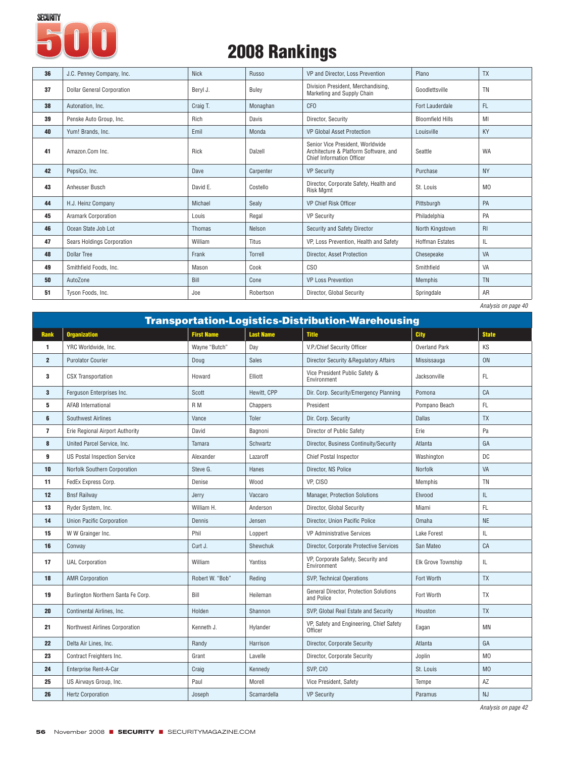

| 36 | J.C. Penney Company, Inc.         | <b>Nick</b>   | Russo     | VP and Director, Loss Prevention                                                                              | Plano                   | <b>TX</b>      |
|----|-----------------------------------|---------------|-----------|---------------------------------------------------------------------------------------------------------------|-------------------------|----------------|
| 37 | <b>Dollar General Corporation</b> | Beryl J.      | Buley     | Division President, Merchandising,<br>Marketing and Supply Chain                                              | Goodlettsville          | TN             |
| 38 | Autonation, Inc.                  | Craig T.      | Monaghan  | CF <sub>0</sub>                                                                                               | Fort Lauderdale         | <b>FL</b>      |
| 39 | Penske Auto Group, Inc.           | Rich          | Davis     | Director, Security                                                                                            | <b>Bloomfield Hills</b> | MI             |
| 40 | Yum! Brands, Inc.                 | Emil          | Monda     | <b>VP Global Asset Protection</b>                                                                             | Louisville              | KY             |
| 41 | Amazon.Com Inc.                   | Rick          | Dalzell   | Senior Vice President, Worldwide<br>Architecture & Platform Software, and<br><b>Chief Information Officer</b> | Seattle                 | WA             |
| 42 | PepsiCo, Inc.                     | Dave          | Carpenter | <b>VP Security</b>                                                                                            | Purchase                | <b>NY</b>      |
| 43 | Anheuser Busch                    | David E.      | Costello  | Director, Corporate Safety, Health and<br><b>Risk Mgmt</b>                                                    | St. Louis               | M <sub>0</sub> |
| 44 | H.J. Heinz Company                | Michael       | Sealy     | VP Chief Risk Officer                                                                                         | Pittsburgh              | PA             |
| 45 | <b>Aramark Corporation</b>        | Louis         | Regal     | <b>VP Security</b>                                                                                            | Philadelphia            | PA             |
| 46 | Ocean State Job Lot               | <b>Thomas</b> | Nelson    | Security and Safety Director                                                                                  | North Kingstown         | RI             |
| 47 | Sears Holdings Corporation        | William       | Titus     | VP, Loss Prevention, Health and Safety                                                                        | <b>Hoffman Estates</b>  | IL             |
| 48 | <b>Dollar Tree</b>                | Frank         | Torrell   | Director, Asset Protection                                                                                    | Chesepeake              | <b>VA</b>      |
| 49 | Smithfield Foods, Inc.            | Mason         | Cook      | CS <sub>0</sub>                                                                                               | Smithfield              | VA             |
| 50 | AutoZone                          | Bill          | Cone      | <b>VP Loss Prevention</b>                                                                                     | <b>Memphis</b>          | TN             |
| 51 | Tyson Foods, Inc.                 | Joe           | Robertson | Director, Global Security                                                                                     | Springdale              | AR             |

|                |                                     |                   |                  |                                                          |                           | <i></i>        |
|----------------|-------------------------------------|-------------------|------------------|----------------------------------------------------------|---------------------------|----------------|
|                |                                     |                   |                  | <b>Transportation-Logistics-Distribution-Warehousing</b> |                           |                |
| <b>Rank</b>    | <b>Organization</b>                 | <b>First Name</b> | <b>Last Name</b> | <b>Title</b>                                             | <b>City</b>               | <b>State</b>   |
| 1              | YRC Worldwide, Inc.                 | Wayne "Butch"     | Day              | V.P./Chief Security Officer                              | <b>Overland Park</b>      | KS             |
| $\overline{2}$ | <b>Purolator Courier</b>            | Doug              | <b>Sales</b>     | <b>Director Security &amp; Regulatory Affairs</b>        | Mississauga               | <b>ON</b>      |
| 3              | <b>CSX Transportation</b>           | Howard            | Elliott          | Vice President Public Safety &<br>Environment            | Jacksonville              | FL             |
| $\mathbf{3}$   | Ferauson Enterprises Inc.           | Scott             | Hewitt, CPP      | Dir. Corp. Security/Emergency Planning                   | Pomona                    | CA             |
| 5              | <b>AFAB International</b>           | R M               | Chappers         | President                                                | Pompano Beach             | FL.            |
| 6              | <b>Southwest Airlines</b>           | Vance             | Toler            | Dir. Corp. Security                                      | <b>Dallas</b>             | <b>TX</b>      |
| $\overline{7}$ | Erie Regional Airport Authority     | David             | Bagnoni          | Director of Public Safety                                | Erie                      | Pa             |
| 8              | United Parcel Service, Inc.         | Tamara            | Schwartz         | Director, Business Continuity/Security                   | Atlanta                   | GA             |
| 9              | <b>US Postal Inspection Service</b> | Alexander         | Lazaroff         | <b>Chief Postal Inspector</b>                            | Washington                | DC             |
| 10             | Norfolk Southern Corporation        | Steve G.          | Hanes            | Director, NS Police                                      | Norfolk                   | VA             |
| 11             | FedEx Express Corp.                 | Denise            | Wood             | VP, CISO                                                 | Memphis                   | TN             |
| 12             | <b>Bnsf Railway</b>                 | Jerry             | Vaccaro          | <b>Manager, Protection Solutions</b>                     | Elwood                    | IL.            |
| 13             | Ryder System, Inc.                  | William H.        | Anderson         | Director, Global Security                                | Miami                     | FL.            |
| 14             | <b>Union Pacific Corporation</b>    | Dennis            | Jensen           | Director, Union Pacific Police                           | Omaha                     | NE             |
| 15             | W W Grainger Inc.                   | Phil              | Loppert          | <b>VP Administrative Services</b>                        | Lake Forest               | IL.            |
| 16             | Conway                              | Curt J.           | Shewchuk         | Director, Corporate Protective Services                  | San Mateo                 | CA             |
| 17             | <b>UAL Corporation</b>              | William           | Yantiss          | VP, Corporate Safety, Security and<br>Environment        | <b>Elk Grove Township</b> | IL.            |
| 18             | <b>AMR Corporation</b>              | Robert W. "Bob"   | Reding           | <b>SVP, Technical Operations</b>                         | Fort Worth                | <b>TX</b>      |
| 19             | Burlington Northern Santa Fe Corp.  | Bill              | Heileman         | General Director, Protection Solutions<br>and Police     | Fort Worth                | TX             |
| 20             | Continental Airlines, Inc.          | Holden            | Shannon          | SVP, Global Real Estate and Security                     | Houston                   | <b>TX</b>      |
| 21             | Northwest Airlines Corporation      | Kenneth J.        | Hylander         | VP, Safety and Engineering, Chief Safety<br>Officer      | Eagan                     | <b>MN</b>      |
| 22             | Delta Air Lines, Inc.               | Randy             | Harrison         | Director, Corporate Security                             | Atlanta                   | GA             |
| 23             | Contract Freighters Inc.            | Grant             | Lavelle          | Director, Corporate Security                             | Joplin                    | M <sub>0</sub> |
| 24             | Enterprise Rent-A-Car               | Craig             | Kennedy          | SVP. CIO                                                 | St. Louis                 | M <sub>0</sub> |
| 25             | US Airways Group, Inc.              | Paul              | Morell           | Vice President, Safety                                   | Tempe                     | ΑZ             |
| 26             | <b>Hertz Corporation</b>            | Joseph            | Scamardella      | <b>VP Security</b>                                       | Paramus                   | NJ             |